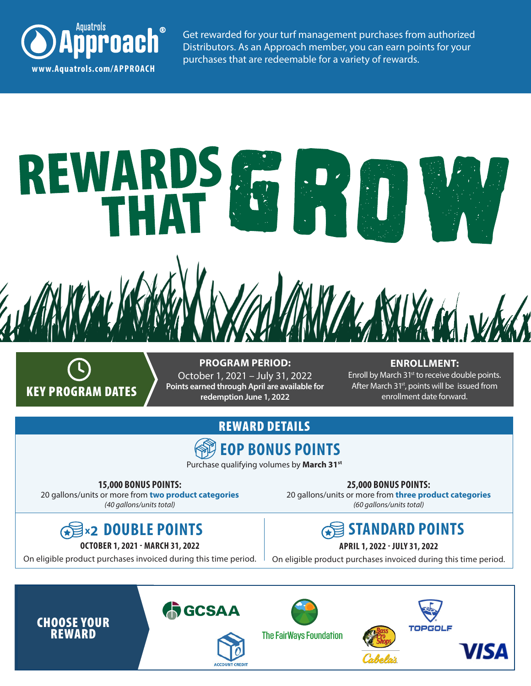

Get rewarded for your turf management purchases from authorized Distributors. As an Approach member, you can earn points for your





**PROGRAM PERIOD:** October 1, 2021 – July 31, 2022 **Points earned through April are available for redemption June 1, 2022**

### **ENROLLMENT:**

Enroll by March 31<sup>st</sup> to receive double points. After March  $31st$ , points will be issued from enrollment date forward.

## REWARD DETAILS



Purchase qualifying volumes by **March 31st** 

**15,000 BONUS POINTS:** 20 gallons/units or more from **two product categories**

*(40 gallons/units total)*

## **DOUBLE POINTS x2**

**OCTOBER 1, 2021 - MARCH 31, 2022**

On eligible product purchases invoiced during this time period.

**25,000 BONUS POINTS:** 20 gallons/units or more from **three product categories** *(60 gallons/units total)* 

## **STANDARD POINTS**

## **APRIL 1, 2022 - JULY 31, 2022**

On eligible product purchases invoiced during this time period.





ACCOUNT CREDIT



**The FairWays Foundation**